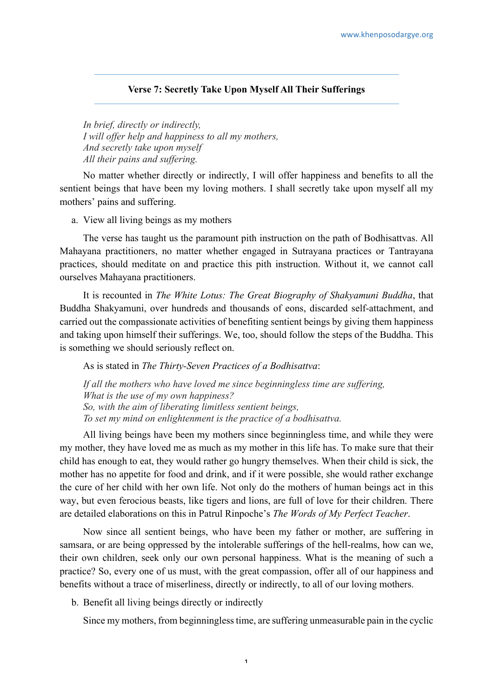## **Verse 7: Secretly Take Upon Myself All Their Sufferings**

*In brief, directly or indirectly, I will offer help and happiness to all my mothers, And secretly take upon myself All their pains and suffering.*

No matter whether directly or indirectly, I will offer happiness and benefits to all the sentient beings that have been my loving mothers. I shall secretly take upon myself all my mothers' pains and suffering.

a. View all living beings as my mothers

The verse has taught us the paramount pith instruction on the path of Bodhisattvas. All Mahayana practitioners, no matter whether engaged in Sutrayana practices or Tantrayana practices, should meditate on and practice this pith instruction. Without it, we cannot call ourselves Mahayana practitioners.

It is recounted in *The White Lotus: The Great Biography of Shakyamuni Buddha*, that Buddha Shakyamuni, over hundreds and thousands of eons, discarded self-attachment, and carried out the compassionate activities of benefiting sentient beings by giving them happiness and taking upon himself their sufferings. We, too, should follow the steps of the Buddha. This is something we should seriously reflect on.

As is stated in *The Thirty-Seven Practices of a Bodhisattva*:

*If all the mothers who have loved me since beginningless time are suffering, What is the use of my own happiness? So, with the aim of liberating limitless sentient beings, To set my mind on enlightenment is the practice of a bodhisattva.*

All living beings have been my mothers since beginningless time, and while they were my mother, they have loved me as much as my mother in this life has. To make sure that their child has enough to eat, they would rather go hungry themselves. When their child is sick, the mother has no appetite for food and drink, and if it were possible, she would rather exchange the cure of her child with her own life. Not only do the mothers of human beings act in this way, but even ferocious beasts, like tigers and lions, are full of love for their children. There are detailed elaborations on this in Patrul Rinpoche's *The Words of My Perfect Teacher*.

Now since all sentient beings, who have been my father or mother, are suffering in samsara, or are being oppressed by the intolerable sufferings of the hell-realms, how can we, their own children, seek only our own personal happiness. What is the meaning of such a practice? So, every one of us must, with the great compassion, offer all of our happiness and benefits without a trace of miserliness, directly or indirectly, to all of our loving mothers.

b. Benefit all living beings directly or indirectly

Since my mothers, from beginningless time, are suffering unmeasurable pain in the cyclic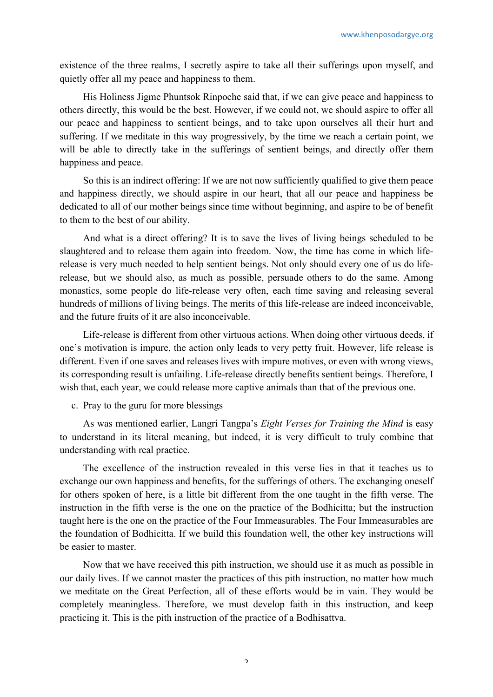existence of the three realms, I secretly aspire to take all their sufferings upon myself, and quietly offer all my peace and happiness to them.

His Holiness Jigme Phuntsok Rinpoche said that, if we can give peace and happiness to others directly, this would be the best. However, if we could not, we should aspire to offer all our peace and happiness to sentient beings, and to take upon ourselves all their hurt and suffering. If we meditate in this way progressively, by the time we reach a certain point, we will be able to directly take in the sufferings of sentient beings, and directly offer them happiness and peace.

So this is an indirect offering: If we are not now sufficiently qualified to give them peace and happiness directly, we should aspire in our heart, that all our peace and happiness be dedicated to all of our mother beings since time without beginning, and aspire to be of benefit to them to the best of our ability.

And what is a direct offering? It is to save the lives of living beings scheduled to be slaughtered and to release them again into freedom. Now, the time has come in which liferelease is very much needed to help sentient beings. Not only should every one of us do liferelease, but we should also, as much as possible, persuade others to do the same. Among monastics, some people do life-release very often, each time saving and releasing several hundreds of millions of living beings. The merits of this life-release are indeed inconceivable, and the future fruits of it are also inconceivable.

Life-release is different from other virtuous actions. When doing other virtuous deeds, if one's motivation is impure, the action only leads to very petty fruit. However, life release is different. Even if one saves and releases lives with impure motives, or even with wrong views, its corresponding result is unfailing. Life-release directly benefits sentient beings. Therefore, I wish that, each year, we could release more captive animals than that of the previous one.

c. Pray to the guru for more blessings

As was mentioned earlier, Langri Tangpa's *Eight Verses for Training the Mind* is easy to understand in its literal meaning, but indeed, it is very difficult to truly combine that understanding with real practice.

The excellence of the instruction revealed in this verse lies in that it teaches us to exchange our own happiness and benefits, for the sufferings of others. The exchanging oneself for others spoken of here, is a little bit different from the one taught in the fifth verse. The instruction in the fifth verse is the one on the practice of the Bodhicitta; but the instruction taught here is the one on the practice of the Four Immeasurables. The Four Immeasurables are the foundation of Bodhicitta. If we build this foundation well, the other key instructions will be easier to master.

Now that we have received this pith instruction, we should use it as much as possible in our daily lives. If we cannot master the practices of this pith instruction, no matter how much we meditate on the Great Perfection, all of these efforts would be in vain. They would be completely meaningless. Therefore, we must develop faith in this instruction, and keep practicing it. This is the pith instruction of the practice of a Bodhisattva.